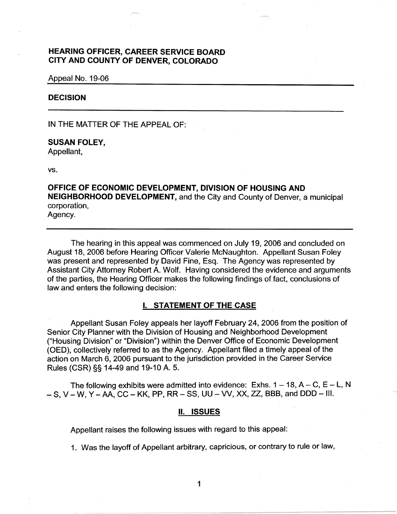# **HEARING OFFICER, CAREER SERVICE BOARD CITY AND COUNTY OF DENVER, COLORADO**

Appeal No. 19-06

# **DECISION**

IN THE MATTER OF THE APPEAL OF:

# **SUSAN FOLEY,**

Appellant,

vs.

**OFFICE OF ECONOMIC DEVELOPMENT, DIVISION OF HOUSING AND NEIGHBORHOOD DEVELOPMENT,** and the City and County of Denver, a municipal corporation, Agency.

The hearing in this appeal was commenced on July 19, 2006 and concluded on August 18, 2006 before Hearing Officer Valerie McNaughton. Appellant Susan Foley was present and represented by David Fine, Esq. The Agency was represented by Assistant City Attorney Robert A. Wolf. Having considered the evidence and arguments of the parties, the Hearing Officer makes the following findings of fact, conclusions of law and enters the following decision:

# I. **STATEMENT OF THE CASE**

Appellant Susan Foley appeals her layoff February 24, 2006 from the position of Senior City Planner with the Division of Housing and Neighborhood Development ("Housing Division" or "Division") within the Denver Office of Economic Development (OED), collectively referred to as the Agency. Appellant filed a timely appeal of the action on March 6, 2006 pursuant to the jurisdiction provided in the Career Service Rules (CSR)§§ 14-49 and 19-10 A. 5.

The following exhibits were admitted into evidence: Exhs.  $1 - 18$ ,  $A - C$ ,  $E - L$ , N  $- S$ , V  $- W$ , Y  $- AA$ , CC  $- KK$ , PP, RR  $- SS$ , UU  $- VV$ , XX, ZZ, BBB, and DDD  $- III$ .

# II. **ISSUES**

Appellant raises the following issues with regard to this appeal:

1. Was the layoff of Appellant arbitrary, capricious, or contrary to rule or law,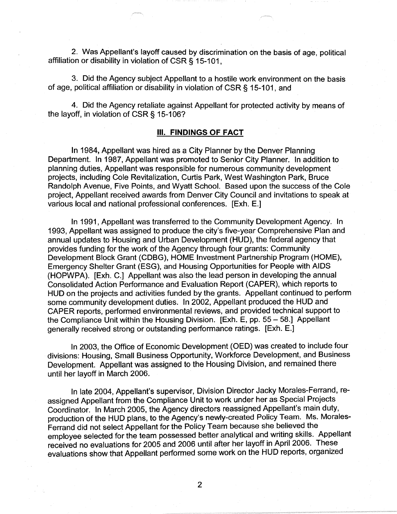2. Was Appellant's layoff caused by discrimination on the basis of age, political affiliation or disability in violation of CSR § 15-101,

3. Did the Agency subject Appellant to a hostile work environment on the basis of age, political affiliation or disability in violation of CSR § 15-101, and

4. Did the Agency retaliate against Appellant for protected activity by means of the layoff, in violation of CSR§ 15-106?

#### Ill. **FINDINGS OF FACT**

In 1984, Appellant was hired as a City Planner by the Denver Planning Department. In 1987, Appellant was promoted to Senior City Planner. In addition to planning duties, Appellant was responsible for numerous community development projects, including Cole Revitalization, Curtis Park, West Washington Park, Bruce Randolph Avenue, Five Points, and Wyatt School. Based upon the success of the Cole project, Appellant received awards from Denver City Council and invitations to speak at various local and national professional conferences. [Exh. E.]

In 1991, Appellant was transferred to the Community Development Agency. In 1993, Appellant was assigned to produce the city's five-year Comprehensive Plan and annual updates to Housing and Urban Development (HUD), the federal agency that provides funding for the work of the Agency through four grants: Community Development Block Grant (CDBG), HOME Investment Partnership Program (HOME), Emergency Shelter Grant (ESG), and Housing Opportunities for People with AIDS (HOPWPA). [Exh. C.] Appellant was also the lead person in developing the annual Consolidated Action Performance and Evaluation Report (CAPER), which reports to HUD on the projects and activities funded by the grants. Appellant continued to perform some community development duties. In 2002, Appellant produced the HUD and CAPER reports, performed environmental reviews, and provided technical support to the Compliance Unit within the Housing Division. [Exh. E, pp. 55 - 58.] Appellant generally received strong or outstanding performance ratings. [Exh. E.]

In 2003, the Office of Economic Development (OED) was created to include four divisions: Housing, Small Business Opportunity, Workforce Development, and Business Development. Appellant was assigned to the Housing Division, and remained there until her layoff in March 2006.

In late 2004, Appellant's supervisor, Division Director Jacky Morales-Ferrand, reassigned Appellant from the Compliance Unit to work under her as Special Projects Coordinator. In March 2005, the Agency directors reassigned Appellant's main duty, production of the HUD plans, to the Agency's newly-created Policy Team. Ms. Morales-Ferrand did not select Appellant for the Policy Team because she believed the employee selected for the team possessed better analytical and writing skills. Appellant received no evaluations for 2005 and 2006 until after her layoff in April 2006. These evaluations show that Appellant performed some work on the HUD reports, organized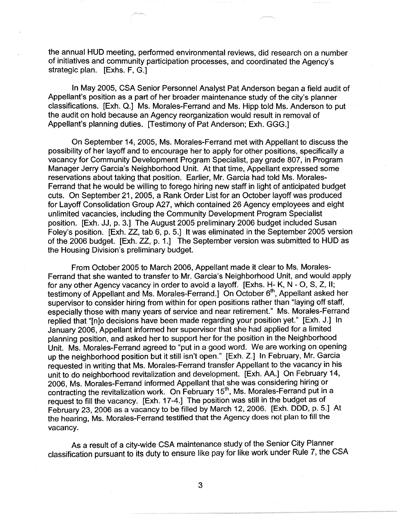the annual HUD meeting, performed environmental reviews, did research on a number of initiatives and community participation processes, and coordinated the Agency's strategic plan. [Exhs. F, G.]

In May 2005, CSA Senior Personnel Analyst Pat Anderson began a field audit of Appellant's position as a part of her broader maintenance study of the city's planner classifications. [Exh. Q.] Ms. Morales-Ferrand and Ms. Hipp told Ms. Anderson to put the audit on hold because an Agency reorganization would result in removal of Appellant's planning duties. [Testimony of Pat Anderson; Exh. GGG.]

On September 14, 2005, Ms. Morales-Ferrand met with Appellant to discuss the possibility of her layoff and to encourage her to apply for other positions, specifically a vacancy for Community Development Program Specialist, pay grade 807, in Program Manager Jerry Garcia's Neighborhood Unit. At that time, Appellant expressed some reservations about taking that position. Earlier, Mr. Garcia had told Ms. Morales-Ferrand that he would be willing to forego hiring new staff in light of anticipated budget cuts. On September 21, 2005, a Rank Order List for an October layoff was produced for Layoff Consolidation Group A27, which contained 26 Agency employees and eight unlimited vacancies, including the Community Development Program Specialist position. [Exh. JJ, p. 3.] The August 2005 preliminary 2006 budget included Susan Foley's position. [Exh. ZZ, tab 6, p. 5.] It was eliminated in the September 2005 version of the 2006 budget. [Exh. ZZ, p. 1.] The September version was submitted to HUD as the Housing Division's preliminary budget.

From October 2005 to March 2006, Appellant made it clear to Ms. Morales-Ferrand that she wanted to transfer to Mr. Garcia's Neighborhood Unit, and would apply for any other Agency vacancy in order to avoid a layoff. [Exhs. H- K, N - 0, S, Z, II; testimony of Appellant and Ms. Morales-Ferrand.] On October 6<sup>th</sup>, Appellant asked her supervisor to consider hiring from within for open positions rather than "laying off staff, especially those with many years of service and near retirement." Ms. Morales-Ferrand replied that "[n]o decisions have been made regarding your position yet." [Exh. J.] In January 2006, Appellant informed her supervisor that she had applied for a limited planning position, and asked her to support her for the position in the Neighborhood Unit. Ms. Morales-Ferrand agreed to "put in a good word. We are working on opening up the neighborhood position but it still isn't open." [Exh. Z.] In February, Mr. Garcia requested in writing that Ms. Morales-Ferrand transfer Appellant to the vacancy in his unit to do neighborhood revitalization and development. [Exh. AA.] On February 14, 2006, Ms. Morales-Ferrand informed Appellant that she was considering hiring or contracting the revitalization work. On February  $15<sup>th</sup>$ , Ms. Morales-Ferrand put in a request to fill the vacancy. [Exh. 17-4.] The position was still in the budget as of February 23, 2006 as a vacancy to be filled by March 12, 2006. [Exh. DOD, p. 5.] At the hearing, Ms. Morales-Ferrand testified that the Agency does not plan to fill the vacancy.

As a result of a city-wide CSA maintenance study of the Senior City Planner classification pursuant to its duty to ensure like pay for like work under Rule 7, the CSA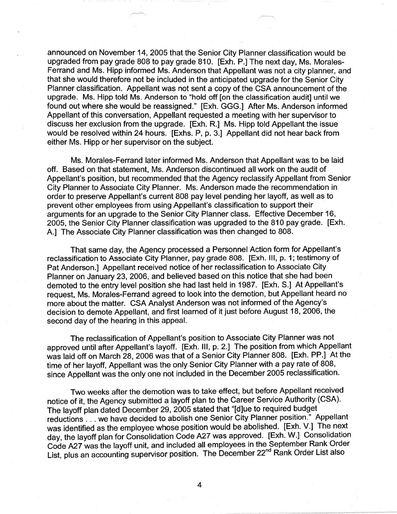announced on November 14, 2005 that the Senior City Planner classification would be upgraded from pay grade 808 to pay grade 810. [Exh. P.] The next day, Ms. Morales-Ferrand and Ms. Hipp informed Ms. Anderson that Appellant was not a city planner, and that she would therefore not be included in the anticipated upgrade for the Senior City Planner classification. Appellant was not sent a copy of the CSA announcement of the upgrade. Ms. Hipp told Ms. Anderson to "hold off [on the classification audit] until we found out where she would be reassigned." [Exh. GGG.] After Ms. Anderson informed Appellant of this conversation, Appellant requested a meeting with her supervisor to discuss her exclusion from the upgrade. [Exh. R.] Ms. Hipp told Appellant the issue would be resolved within 24 hours. [Exhs. P, p. 3.] Appellant did not hear back from either Ms. Hipp or her supervisor on the subject.

Ms. Morales-Ferrand later informed Ms. Anderson that Appellant was to be laid off. Based on that statement, Ms. Anderson discontinued all work on the audit of Appellant's position, but recommended that the Agency reclassify Appellant from Senior City Planner to Associate City Planner. Ms. Anderson made the recommendation in order to preserve Appellant's current 808 pay level pending her layoff, as well as to prevent other employees from using Appellant's classification to support their arguments for an upgrade to the Senior City Planner class. Effective December 16, 2005, the Senior City Planner classification was upgraded to the 810 pay grade. [Exh. A.] The Associate City Planner classification was then changed to 808.

That same day, the Agency processed a Personnel Action form for Appellant's reclassification to Associate City Planner, pay grade 808. [Exh. Ill, p. 1; testimony of Pat Anderson.] Appellant received notice of her reclassification to Associate City Planner on January 23, 2006, and believed based on this notice that she had been demoted to the entry level position she had last held in 1987. [Exh. S.] At Appellant's request, Ms. Morales-Ferrand agreed to look into the demotion, but Appellant heard no more about the matter. CSA Analyst Anderson was not informed of the Agency's decision to demote Appellant, and first learned of it just before August 18, 2006, the second day of the hearing in this appeal.

The reclassification of Appellant's position to Associate City Planner was not approved until after Appellant's layoff. [Exh. 111, p. 2.] The position from which Appellant was laid off on March 28, 2006 was that of a Senior City Planner 808. [Exh. PP.] At the time of her layoff, Appellant was the only Senior City Planner with a pay rate of 808, since Appellant was the only one not included in the December 2005 reclassification.

Two weeks after the demotion was to take effect, but before Appellant received notice of it, the Agency submitted a layoff plan to the Career Service Authority (CSA). The layoff plan dated December 29, 2005 stated that "[d]ue to required budget reductions ... we have decided to abolish one Senior City Planner position." Appellant was identified as the employee whose position would be abolished. [Exh. V.] The next day, the layoff plan for Consolidation Code A27 was approved. [Exh. W.] Consolidation Code A27 was the layoff unit, and included all employees in the September Rank Order List, plus an accounting supervisor position. The December 22<sup>nd</sup> Rank Order List also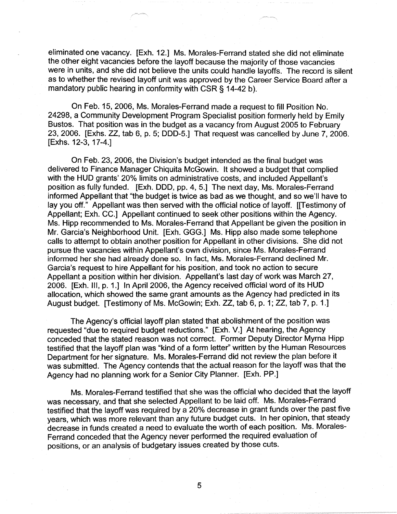eliminated one vacancy. [Exh. 12.] Ms. Morales-Ferrand stated she did not eliminate the other eight vacancies before the layoff because the majority of those vacancies were in units, and she did not believe the units could handle layoffs. The record is silent as to whether the revised layoff unit was approved by the Career Service Board after a mandatory public hearing in conformity with CSR § 14-42 b).

On Feb. 15, 2006, Ms. Morales-Ferrand made a request to fill Position No. 24298, a Community Development Program Specialist position formerly held by Emily Bustos. That position was in the budget as a vacancy from August 2005 to February 23, 2006. [Exhs. ZZ, tab 6, p. 5; DDD-5.] That request was cancelled by June 7, 2006. [Exhs. 12-3, 17-4.]

On Feb. 23, 2006, the Division's budget intended as the final budget was delivered to Finance Manager Chiquita McGowin. It showed a budget that complied with the HUD grants' 20% limits on administrative costs, and included Appellant's position as fully funded. [Exh. DOD, pp. 4, 5.] The next day, Ms. Morales-Ferrand informed Appellant that "the budget is twice as bad as we thought, and so we'll have to lay you off." Appellant was then served with the official notice of layoff. [[Testimony of Appellant; Exh. CC.] Appellant continued to seek other positions within the Agency. Ms. Hipp recommended to Ms. Morales-Ferrand that Appellant be given the position in Mr. Garcia's Neighborhood Unit. [Exh. GGG.] Ms. Hipp also made some telephone calls to attempt to obtain another position for Appellant in other divisions. She did not pursue the vacancies within Appellant's own division, since Ms. Morales-Ferrand informed her she had already done so. In fact, Ms. Morales-Ferrand declined Mr. Garcia's request to hire Appellant for his position, and took no action to secure Appellant a position within her division. Appellant's last day of work was March 27, 2006. [Exh. Ill, p. 1.] In April 2006, the Agency received official word of its HUD allocation, which showed the same grant amounts as the Agency had predicted in its August budget. [Testimony of Ms. McGowin; Exh. ZZ, tab 6, p. 1; ZZ, tab 7, p. 1.]

The Agency's official layoff plan stated that abolishment of the position was requested "due to required budget reductions." [Exh. V.] At hearing, the Agency conceded that the stated reason was not correct. Former Deputy Director Myrna Hipp testified that the layoff plan was "kind of a form letter'' written by the Human Resources Department for her signature. Ms. Morales-Ferrand did not review the plan before it was submitted. The Agency contends that the actual reason for the layoff was that the Agency had no planning work for a Senior City Planner. [Exh. PP.]

Ms. Morales-Ferrand testified that she was the official who decided that the layoff was necessary, and that she selected Appellant to be laid off. Ms. Morales-Ferrand testified that the layoff was required by a 20% decrease in grant funds over the past five years, which was more relevant than any future budget cuts. In her opinion, that steady decrease in funds created a need to evaluate the worth of each position. Ms. Morales-Ferrand conceded that the Agency never performed the required evaluation of positions, or an analysis of budgetary issues created by those cuts.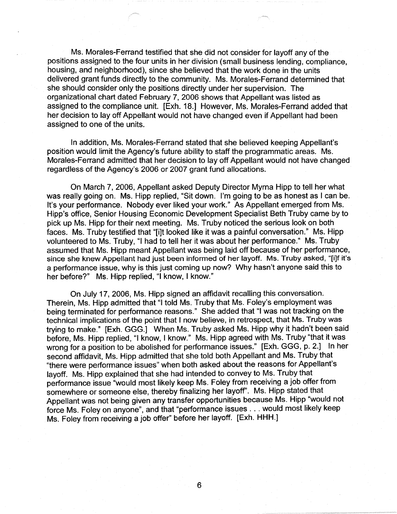Ms. Morales-Ferrand testified that she did not consider for layoff any of the positions assigned to the four units in her division (small business lending, compliance, housing, and neighborhood), since she believed that the work done in the units delivered grant funds directly to the community. Ms. Morales-Ferrand determined that she should consider only the positions directly under her supervision. The organizational chart dated February 7, 2006 shows that Appellant was listed as assigned to the compliance unit. [Exh. 18.] However, Ms. Morales-Ferrand added that her decision to lay off Appellant would not have changed even if Appellant had been assigned to one of the units.

In addition, Ms. Morales-Ferrand stated that she believed keeping Appellant's position would limit the Agency's future ability to staff the programmatic areas. Ms. Morales-Ferrand admitted that her decision to lay off Appellant would not have changed regardless of the Agency's 2006 or 2007 grant fund allocations.

On March 7, 2006, Appellant asked Deputy Director Myrna Hipp to tell her what was really going on. Ms. Hipp replied, "Sit down. I'm going to be as honest as I can be. It's your performance. Nobody ever liked your work." As Appellant emerged from Ms. Hipp's office, Senior Housing Economic Development Specialist Beth Truby came by to pick up Ms. Hipp for their next meeting. Ms. Truby noticed the serious look on both faces. Ms. Truby testified that "[i]t looked like it was a painful conversation." Ms. Hipp volunteered to Ms. Truby, "I had to tell her it was about her performance." Ms. Truby assumed that Ms. Hipp meant Appellant was being laid off because of her performance, since she knew Appellant had just been informed of her layoff. Ms. Truby asked, "[i]f it's a performance issue, why is this just coming up now? Why hasn't anyone said this to her before?" Ms. Hipp replied, "I know, I know."

On July 17, 2006, Ms. Hipp signed an affidavit recalling this conversation. Therein, Ms. Hipp admitted that "I told Ms. Truby that Ms. Foley's employment was being terminated for performance reasons." She added that "I was not tracking on the technical implications of the point that I now believe, in retrospect, that Ms. Truby was trying to make." [Exh. GGG.] When Ms. Truby asked Ms. Hipp why it hadn't been said before, Ms. Hipp replied, "I know, I know." Ms. Hipp agreed with Ms. Truby "that it was wrong for a position to be abolished for performance issues." [Exh. GGG, p. 2.] In her second affidavit, Ms. Hipp admitted that she told both Appellant and Ms. Truby that "there were performance issues" when both asked about the reasons for Appellant's layoff. Ms. Hipp explained that she had intended to convey to Ms. Truby that performance issue "would most likely keep Ms. Foley from receiving a job offer from somewhere or someone else, thereby finalizing her layoff''. Ms. Hipp stated that Appellant was not being given any transfer opportunities because Ms. Hipp "would not force Ms. Foley on anyone", and that "performance issues ... would most likely keep Ms. Foley from receiving a job offer" before her layoff. [Exh. **HHH.]**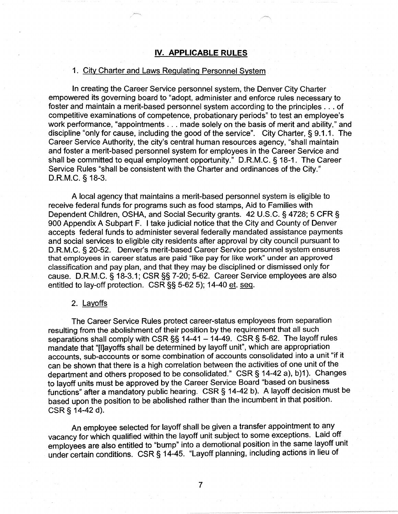### **IV. APPLICABLE RULES**

#### 1. City Charter and Laws Regulating Personnel System

In creating the Career Service personnel system, the Denver City Charter empowered its governing board to "adopt, administer and enforce rules necessary to foster and maintain a merit-based personnel system according to the principles ... of competitive examinations of competence, probationary periods" to test an employee's work performance, "appointments ... made solely on the basis of merit and ability," and discipline "only for cause, including the good of the service". City Charter, § 9.1.1. The Career Service Authority, the city's central human resources agency, "shall maintain and foster a merit-based personnel system for employees in the Career Service and shall be committed to equal employment opportunity." D.R.M.C. § 18-1. The Career Service Rules "shall be consistent with the Charter and ordinances of the City." D.R.M.C. § 18-3.

A local agency that maintains a merit-based personnel system is eligible to receive federal funds for programs such as food stamps, Aid to Families with Dependent Children, OSHA, and Social Security grants. 42 U.S.C. § 4728; 5 CFR § 900 Appendix A Subpart **F.** I take judicial notice that the City and County of Denver accepts federal funds to administer several federally mandated assistance payments and social services to eligible city residents after approval by city council pursuant to D.R.M.C. § 20-52. Denver's merit-based Career Service personnel system ensures that employees in career status are paid "like pay for like work" under an approved classification and pay plan, and that they may be disciplined or dismissed only for cause. D.R.M.C. § 18-3.1; CSR§§ 7-20; 5-62. Career Service employees are also entitled to lay-off protection. CSR§§ 5-62 5); 14-40 et. seq.

### 2. Layoffs

The Career Service Rules protect career-status employees from separation resulting from the abolishment of their position by the requirement that all such separations shall comply with CSR  $\S$ § 14-41 - 14-49. CSR § 5-62. The layoff rules mandate that "[l]ayoffs shall be determined by layoff unit", which are appropriation accounts, sub-accounts or some combination of accounts consolidated into a unit "if it can be shown that there is a high correlation between the activities of one unit of the department and others proposed to be consolidated." CSR§ 14-42 a), b)1). Changes to layoff units must be approved by the Career Service Board "based on business functions" after a mandatory public hearing. CSR§ 14-42 b). A layoff decision must be based upon the position to be abolished rather than the incumbent in that position. CSR § 14-42 d).

An employee selected for layoff shall be given a transfer appointment to any vacancy for which qualified within the layoff unit subject to some exceptions. Laid off employees are also entitled to "bump" into a demotional position in the same layoff unit under certain conditions. CSR § 14-45. "Layoff planning, including actions in lieu of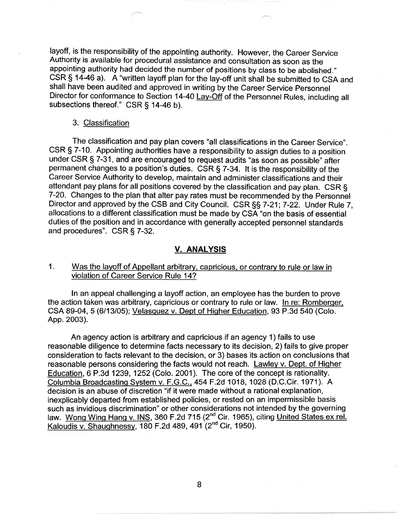layoff, is the responsibility of the appointing authority. However, the Career Service Authority is available for procedural assistance and consultation as soon as the appointing authority had decided the number of positions by class to be abolished." CSR § 14-46 a). A "written layoff plan for the lay-off unit shall be submitted to CSA and shall have been audited and approved in writing by the Career Service Personnel Director for conformance to Section 14-40 Lay-Off of the Personnel Rules, including all subsections thereof." CSR § 14-46 b).

#### 3. Classification

The classification and pay plan covers "all classifications in the Career Service". CSR§ 7-10. Appointing authorities have a responsibility to assign duties to a position under CSR§ 7-31, and are encouraged to request audits "as soon as possible" after permanent changes to a position's duties. CSR § 7-34. It is the responsibility of the Career Service Authority to develop, maintain and administer classifications and their attendant pay plans for all positions covered by the classification and pay plan. CSR § 7-20. Changes to the plan that alter pay rates must be recommended by the Personnel Director and approved by the CSB and City Council. CSR§§ 7-21; 7-22. Under Rule 7, allocations to a different classification must be made by CSA "on the basis of essential duties of the position and in accordance with generally accepted personnel standards and procedures". CSR§ 7-32.

# **V. ANALYSIS**

1. Was the layoff of Appellant arbitrary, capricious, or contrary to rule or law in violation of Career Service Rule 14?

In an appeal challenging a layoff action, an employee has the burden to prove the action taken was arbitrary, capricious or contrary to rule or law. In re: Romberger, CSA 89-04, 5 (6/13/05); Velasquez v. Dept of Higher Education, 93 P.3d 540 (Colo. App. 2003).

An agency action is arbitrary and capricious if an agency 1) fails to use reasonable diligence to determine facts necessary to its decision, 2) fails to give proper consideration to facts relevant to the decision, or 3) bases its action on conclusions that reasonable persons considering the facts would not reach. Lawley v. Dept. of Higher Education, 6 P.3d 1239, 1252 (Colo. 2001 ). The core of the concept is rationality. Columbia Broadcasting System v. F.G.C., 454 F.2d 1018, 1028 (D.C.Cir. 1971). A decision is an abuse of discretion "if it were made without a rational explanation, inexplicably departed from established policies, or rested on an impermissible basis such as invidious discrimination" or other considerations not intended by the governing law. Wong Wing Hang v. INS, 360 F.2d 715 (2<sup>nd</sup> Cir. 1965), citing United States ex rel. Kaloudis v. Shaughnessy, 180 F.2d 489, 491 (2<sup>nd</sup> Cir, 1950).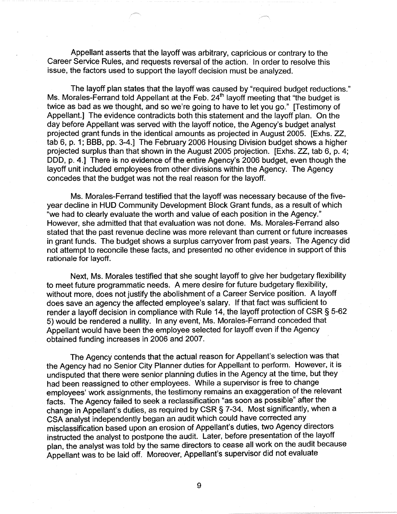Appellant asserts that the layoff was arbitrary, capricious or contrary to the Career Service Rules, and requests reversal of the action. In order to resolve this issue, the factors used to support the layoff decision must be analyzed.

The layoff plan states that the layoff was caused by "required budget reductions." Ms. Morales-Ferrand told Appellant at the Feb. 24<sup>th</sup> layoff meeting that "the budget is twice as bad as we thought, and so we're going to have to let you go." [Testimony of Appellant.] The evidence contradicts both this statement and the layoff plan. On the day before Appellant was served with the layoff notice, the Agency's budget analyst projected grant funds in the identical amounts as projected in August 2005. [Exhs. ZZ, tab 6, p. 1; BBB, pp. 3-4.] The February 2006 Housing Division budget shows a higher projected surplus than that shown in the August 2005 projection. [Exhs. ZZ, tab 6, p. 4; DOD, p. 4.] There is no evidence of the entire Agency's 2006 budget, even though the layoff unit included employees from other divisions within the Agency. The Agency concedes that the budget was not the real reason for the layoff.

Ms. Morales-Ferrand testified that the layoff was necessary because of the fiveyear decline in HUD Community Development Block Grant funds, as a result of which "we had to clearly evaluate the worth and value of each position in the Agency." However, she admitted that that evaluation was not done. Ms. Morales-Ferrand also stated that the past revenue decline was more relevant than current or future increases in grant funds. The budget shows a surplus carryover from past years. The Agency did not attempt to reconcile these facts, and presented no other evidence in support of this rationale for layoff.

Next, Ms. Morales testified that she sought layoff to give her budgetary flexibility to meet future programmatic needs. A mere desire for future budgetary flexibility, without more, does not justify the abolishment of a Career Service position. A layoff does save an agency the affected employee's salary. If that fact was sufficient to render a layoff decision in compliance with Rule 14, the layoff protection of CSR § 5-62 5) would be rendered a nullity. In any event, Ms. Morales-Ferrand conceded that Appellant would have been the employee selected for layoff even if the Agency obtained funding increases in 2006 and 2007.

The Agency contends that the actual reason for Appellant's selection was that the Agency had no Senior City Planner duties for Appellant to perform. However, it is undisputed that there were senior planning duties in the Agency at the time, but they had been reassigned to other employees. While a supervisor is free to change employees' work assignments, the testimony remains an exaggeration of the relevant facts. The Agency failed to seek a reclassification "as soon as possible" after the change in Appellant's duties, as required by CSR§ 7-34. Most significantly, when a CSA analyst independently began an audit which could have corrected any misclassification based upon an erosion of Appellant's duties, two Agency directors instructed the analyst to postpone the audit. Later, before presentation of the layoff plan, the analyst was told by the same directors to cease all work on the audit because Appellant was to be laid off. Moreover, Appellant's supervisor did not evaluate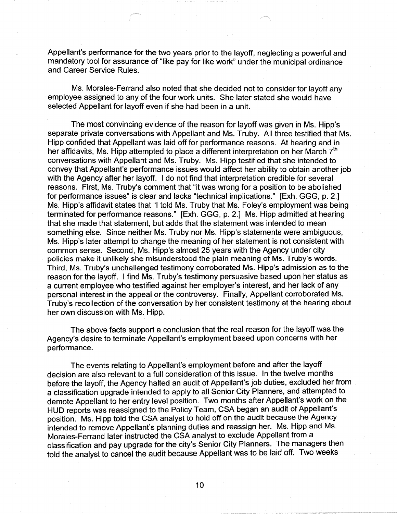Appellant's performance for the two years prior to the layoff, neglecting a powerful and mandatory tool for assurance of "like pay for like work" under the municipal ordinance and Career Service Rules.

Ms. Morales-Ferrand also noted that she decided not to consider for layoff any employee assigned to any of the four work units. She later stated she would have selected Appellant for layoff even if she had been in a unit.

The most convincing evidence of the reason for layoff was given in Ms. Hipp's separate private conversations with Appellant and Ms. Truby. All three testified that Ms. Hipp confided that Appellant was laid off for performance reasons. At hearing and in her affidavits, Ms. Hipp attempted to place a different interpretation on her March  $7<sup>th</sup>$ conversations with Appellant and Ms. Truby. Ms. Hipp testified that she intended to convey that Appellant's performance issues would affect her ability to obtain another job with the Agency after her layoff. I do not find that interpretation credible for several reasons. First, Ms. Truby's comment that "it was wrong for a position to be abolished for performance issues" is clear and lacks "technical implications." [Exh. GGG, p. 2.] Ms. Hipp's affidavit states that "I told Ms. Truby that Ms. Foley's employment was being terminated for performance reasons." [Exh. GGG, p. 2.] Ms. Hipp admitted at hearing that she made that statement, but adds that the statement was intended to mean something else. Since neither Ms. Truby nor Ms. Hipp's statements were ambiguous, Ms. Hipp's later attempt to change the meaning of her statement is not consistent with common sense. Second, Ms. Hipp's almost 25 years with the Agency under city policies make it unlikely she misunderstood the plain meaning of Ms. Truby's words. Third, Ms. Truby's unchallenged testimony corroborated Ms. Hipp's admission as to the reason for the layoff. I find Ms. Truby's testimony persuasive based upon her status as a current employee who testified against her employer's interest, and her lack of any personal interest in the appeal or the controversy. Finally, Appellant corroborated Ms. Truby's recollection of the conversation by her consistent testimony at the hearing about her own discussion with Ms. Hipp.

The above facts support a conclusion that the real reason for the layoff was the Agency's desire to terminate Appellant's employment based upon concerns with her performance.

The events relating to Appellant's employment before and after the layoff decision are also relevant to a full consideration of this issue. In the twelve months before the layoff, the Agency halted an audit of Appellant's job duties, excluded her from a classification upgrade intended to apply to all Senior City Planners, and attempted to demote Appellant to her entry level position. Two months after Appellant's work on the HUD reports was reassigned to the Policy Team, CSA began an audit of Appellant's position. Ms. Hipp told the CSA analyst to hold off on the audit because the Agency intended to remove Appellant's planning duties and reassign her. Ms. Hipp and Ms. Morales-Ferrand later instructed the CSA analyst to exclude Appellant from a classification and pay upgrade for the city's Senior City Planners. The managers then told the analyst to cancel the audit because Appellant was to be laid off. Two weeks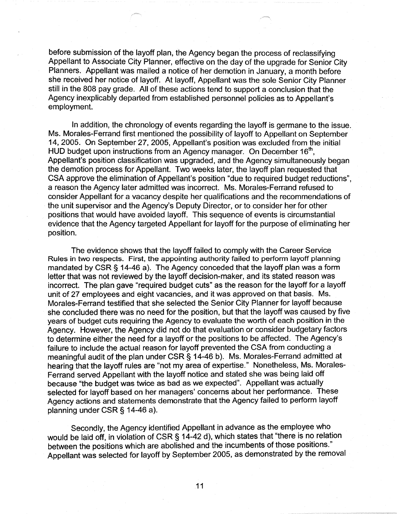before submission of the layoff plan, the Agency began the process of reclassifying Appellant to Associate City Planner, effective on the day of the upgrade for Senior City Planners. Appellant was mailed a notice of her demotion in January, a month before she received her notice of layoff. At layoff, Appellant was the sole Senior City Planner still in the 808 pay grade. All of these actions tend to support a conclusion that the Agency inexplicably departed from established personnel policies as to Appellant's employment.

In addition, the chronology of events regarding the layoff is germane to the issue. Ms. Morales-Ferrand first mentioned the possibility of layoff to Appellant on September 14, 2005. On September 27, 2005, Appellant's position was excluded from the initial HUD budget upon instructions from an Agency manager. On December 16<sup>th</sup>, Appellant's position classification was upgraded, and the Agency simultaneously began the demotion process for Appellant. Two weeks later, the layoff plan requested that CSA approve the elimination of Appellant's position "due to required budget reductions", a reason the Agency later admitted was incorrect. Ms. Morales-Ferrand refused to consider Appellant for a vacancy despite her qualifications and the recommendations of the unit supervisor and the Agency's Deputy Director, or to consider her for other positions that would have avoided layoff. This sequence of events is circumstantial evidence that the Agency targeted Appellant for layoff for the purpose of eliminating her position.

The evidence shows that the layoff failed to comply with the Career Service Rules in two respects. First, the appointing authority failed to perform layoff planning mandated by CSR§ 14-46 a). The Agency conceded that the layoff plan was a form letter that was not reviewed by the layoff decision-maker, and its stated reason was incorrect. The plan gave "required budget cuts" as the reason for the layoff for a layoff unit of 27 employees and eight vacancies, and it was approved on that basis. Ms. Morales-Ferrand testified that she selected the Senior City Planner for layoff because she concluded there was no need for the position, but that the layoff was caused by five years of budget cuts requiring the Agency to evaluate the worth of each position in the Agency. However, the Agency did not do that evaluation or consider budgetary factors to determine either the need for a layoff or the positions to be affected. The Agency's failure to include the actual reason for layoff prevented the CSA from conducting a meaningful audit of the plan under CSR§ 14-46 b). Ms. Morales-Ferrand admitted at hearing that the layoff rules are "not my area of expertise." Nonetheless, Ms. Morales-Ferrand served Appellant with the layoff notice and stated she was being laid off because "the budget was twice as bad as we expected". Appellant was actually selected for layoff based on her managers' concerns about her performance. These Agency actions and statements demonstrate that the Agency failed to perform layoff planning under CSR§ 14-46 a).

Secondly, the Agency identified Appellant in advance as the employee who would be laid off, in violation of CSR § 14-42 d), which states that "there is no relation between the positions which are abolished and the incumbents of those positions." Appellant was selected for layoff by September 2005, as demonstrated by the removal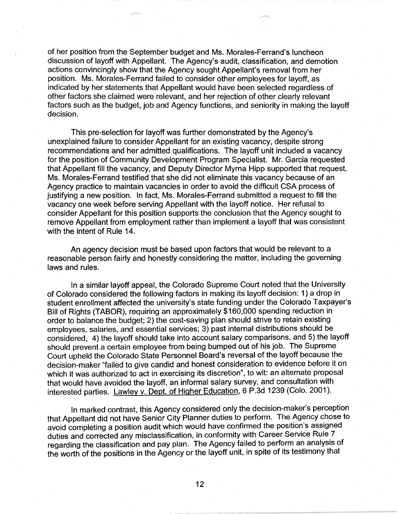of her position from the September budget and Ms. Morales-Ferrand's luncheon discussion of layoff with Appellant. The Agency's audit, classification, and demotion actions convincingly show that the Agency sought Appellant's removal from her position. Ms. Morales-Ferrand failed to consider other employees for layoff, as indicated by her statements that Appellant would have been selected regardless of other factors she claimed were relevant, and her rejection of other clearly relevant factors such as the budget, job and Agency functions, and seniority in making the layoff decision.

This pre-selection for layoff was further demonstrated by the Agency's unexplained failure to consider Appellant for an existing vacancy, despite strong recommendations and her admitted qualifications. The layoff unit included a vacancy for the position of Community Development Program Specialist. Mr. Garcia requested that Appellant fill the vacancy, and Deputy Director Myrna Hipp supported that request. Ms. Morales-Ferrand testified that she did not eliminate this vacancy because of an Agency practice to maintain vacancies in order to avoid the difficult CSA process of justifying a new position. In fact, Ms. Morales-Ferrand submitted a request to fill the vacancy one week before serving Appellant with the layoff notice. Her refusal to consider Appellant for this position supports the conclusion that the Agency sought to remove Appellant from employment rather than implement a layoff that was consistent with the intent of Rule 14.

An agency decision must be based upon factors that would be relevant to a reasonable person fairly and honestly considering the matter, including the governing laws and rules.

In a similar layoff appeal, the Colorado Supreme Court noted that the University of Colorado considered the following factors in making its layoff decision: 1) a drop in student enrollment affected the university's state funding under the Colorado Taxpayer's Bill of Rights (TABOR), requiring an approximately \$160,000 spending reduction in order to balance the budget; 2) the cost-saving plan should strive to retain existing employees, salaries, and essential services; 3) past internal distributions should be considered, 4) the layoff should take into account salary comparisons, and 5) the layoff should prevent a certain employee from being bumped out of his job. The Supreme Court upheld the Colorado State Personnel Board's reversal of the layoff because the decision-maker "failed to give candid and honest consideration to evidence before it on which it was authorized to act in exercising its discretion", to wit: an alternate proposal that would have avoided the layoff, an informal salary survey, and consultation with interested parties. Lawley v. Dept. of Higher Education, 6 P.3d 1239 (Colo. 2001).

In marked contrast, this Agency considered only the decision-maker's perception that Appellant did not have Senior City Planner duties to perform. The Agency chose to avoid completing a position audit which would have confirmed the position's assigned duties and corrected any misclassification, in conformity with Career Service Rule 7 regarding the classification and pay plan. The Agency failed to perform an analysis of the worth of the positions in the Agency or the layoff unit, in spite of its testimony that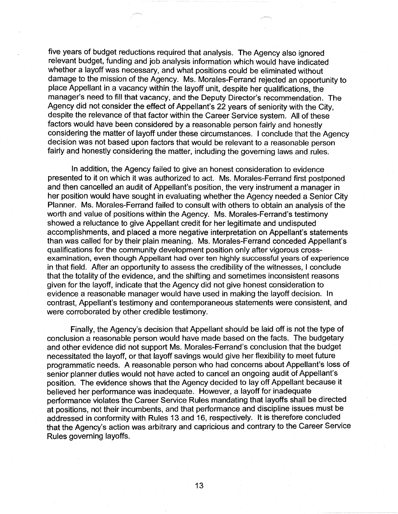five years of budget reductions required that analysis. The Agency also ignored relevant budget, funding and job analysis information which would have indicated whether a layoff was necessary, and what positions could be eliminated without damage to the mission of the Agency. Ms. Morales-Ferrand rejected an opportunity to place Appellant in a vacancy within the layoff unit, despite her qualifications, the manager's need to fill that vacancy, and the Deputy Director's recommendation. The Agency did not consider the effect of Appellant's 22 years of seniority with the City, despite the relevance of that factor within the Career Service system. All of these factors would have been considered by a reasonable person fairly and honestly considering the matter of layoff under these circumstances. I conclude that the Agency decision was not based upon factors that would be relevant to a reasonable person fairly and honestly considering the matter, including the governing laws and rules.

In addition, the Agency failed to give an honest consideration to evidence presented to it on which it was authorized to act. Ms. Morales-Ferrand first postponed and then cancelled an audit of Appellant's position, the very instrument a manager in her position would have sought in evaluating whether the Agency needed a Senior City Planner. Ms. Morales-Ferrand failed to consult with others to obtain an analysis of the worth and value of positions within the Agency. Ms. Morales-Ferrand's testimony showed a reluctance to give Appellant credit for her legitimate and undisputed accomplishments, and placed a more negative interpretation on Appellant's statements than was called for by their plain meaning. Ms. Morales-Ferrand conceded Appellant's qualifications for the community development position only after vigorous crossexamination, even though Appellant had over ten highly successful years of experience in that field. After an opportunity to assess the credibility of the witnesses, I conclude that the totality of the evidence, and the shifting and sometimes inconsistent reasons given for the layoff, indicate that the Agency did not give honest consideration to evidence a reasonable manager would have used in making the layoff decision. In contrast, Appellant's testimony and contemporaneous statements were consistent, and were corroborated by other credible testimony.

Finally, the Agency's decision that Appellant should be laid off is not the type of conclusion a reasonable person would have made based on the facts. The budgetary and other evidence did not support Ms. Morales-Ferrand's conclusion that the budget necessitated the layoff, or that layoff savings would give her flexibility to meet future programmatic needs. A reasonable person who had concerns about Appellant's loss of senior planner duties would not have acted to cancel an ongoing audit of Appellant's position. The evidence shows that the Agency decided to lay off Appellant because it believed her performance was inadequate. However, a layoff for inadequate performance violates the Career Service Rules mandating that layoffs shall be directed at positions, not their incumbents, and that performance and discipline issues must be addressed in conformity with Rules 13 and 16, respectively. It is therefore concluded that the Agency's action was arbitrary and capricious and contrary to the Career Service Rules governing layoffs.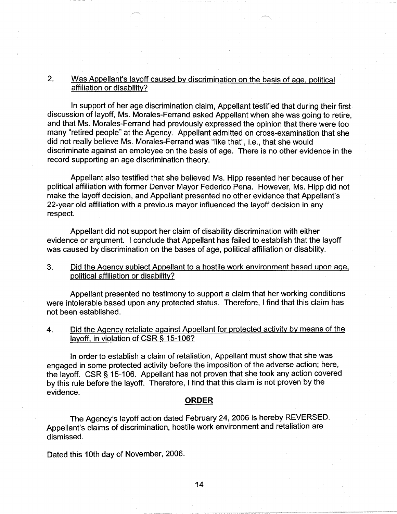# 2. Was Appellant's layoff caused by discrimination on the basis of age, political affiliation or disability?

In support of her age discrimination claim, Appellant testified that during their first discussion of layoff, Ms. Morales-Ferrand asked Appellant when she was going to retire, and that Ms. Morales-Ferrand had previously expressed the opinion that there were too many "retired people" at the Agency. Appellant admitted on cross-examination that she did not really believe Ms. Morales-Ferrand was "like that", i.e., that she would discriminate against an employee on the basis of age. There is no other evidence in the record supporting an age discrimination theory.

Appellant also testified that she believed Ms. Hipp resented her because of her political affiliation with former Denver Mayor Federico Pena. However, Ms. Hipp did not make the layoff decision, and Appellant presented no other evidence that Appellant's 22-year old affiliation with a previous mayor influenced the layoff decision in any respect.

Appellant did not support her claim of disability discrimination with either evidence or argument. I conclude that Appellant has failed to establish that the layoff was caused by discrimination on the bases of age, political affiliation or disability.

3. Did the Agency subject Appellant to a hostile work environment based upon age, political affiliation or disability?

Appellant presented no testimony to support a claim that her working conditions were intolerable based upon any protected status. Therefore, I find that this claim has not been established.

4. Did the Agency retaliate against Appellant for protected activity by means of the layoff, in violation of CSR § 15-106?

In order to establish a claim of retaliation, Appellant must show that she was engaged in some protected activity before the imposition of the adverse action; here, the layoff. CSR § 15-106. Appellant has not proven that she took any action covered by this rule before the layoff. Therefore, I find that this claim is not proven by the evidence.

# **ORDER**

The Agency's layoff action dated February 24, 2006 is hereby REVERSED. Appellant's claims of discrimination, hostile work environment and retaliation are dismissed.

Dated this 10th day of November, 2006.